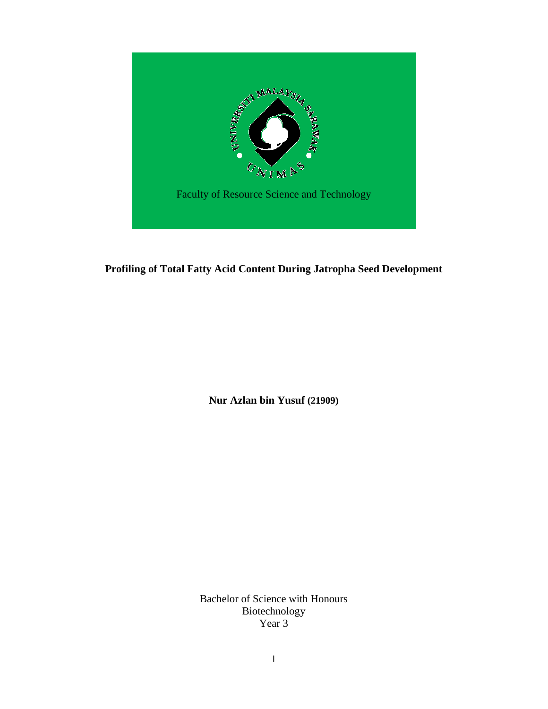

### **Profiling of Total Fatty Acid Content During Jatropha Seed Development**

**Nur Azlan bin Yusuf (21909)**

Bachelor of Science with Honours Biotechnology Year 3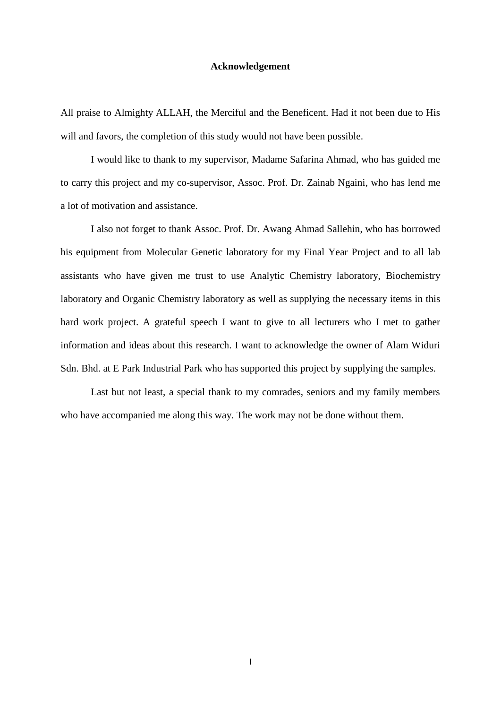#### **Acknowledgement**

All praise to Almighty ALLAH, the Merciful and the Beneficent. Had it not been due to His will and favors, the completion of this study would not have been possible.

I would like to thank to my supervisor, Madame Safarina Ahmad, who has guided me to carry this project and my co-supervisor, Assoc. Prof. Dr. Zainab Ngaini, who has lend me a lot of motivation and assistance.

I also not forget to thank Assoc. Prof. Dr. Awang Ahmad Sallehin, who has borrowed his equipment from Molecular Genetic laboratory for my Final Year Project and to all lab assistants who have given me trust to use Analytic Chemistry laboratory, Biochemistry laboratory and Organic Chemistry laboratory as well as supplying the necessary items in this hard work project. A grateful speech I want to give to all lecturers who I met to gather information and ideas about this research. I want to acknowledge the owner of Alam Widuri Sdn. Bhd. at E Park Industrial Park who has supported this project by supplying the samples.

Last but not least, a special thank to my comrades, seniors and my family members who have accompanied me along this way. The work may not be done without them.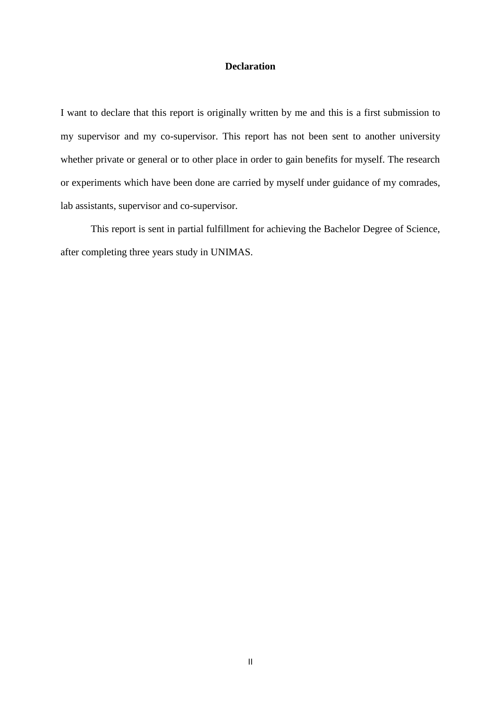### **Declaration**

I want to declare that this report is originally written by me and this is a first submission to my supervisor and my co-supervisor. This report has not been sent to another university whether private or general or to other place in order to gain benefits for myself. The research or experiments which have been done are carried by myself under guidance of my comrades, lab assistants, supervisor and co-supervisor.

This report is sent in partial fulfillment for achieving the Bachelor Degree of Science, after completing three years study in UNIMAS.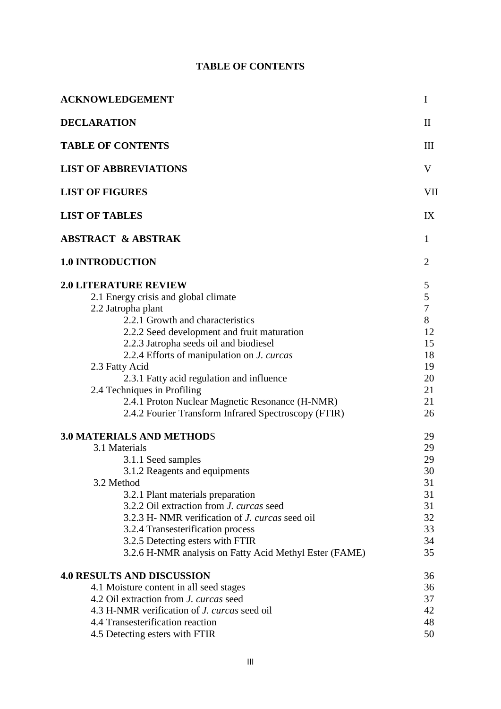## **TABLE OF CONTENTS**

| <b>ACKNOWLEDGEMENT</b>                                                                                                                                                                                                                                                                                                                                                                                                                                                                | $\bf{I}$                                                                                   |
|---------------------------------------------------------------------------------------------------------------------------------------------------------------------------------------------------------------------------------------------------------------------------------------------------------------------------------------------------------------------------------------------------------------------------------------------------------------------------------------|--------------------------------------------------------------------------------------------|
| <b>DECLARATION</b>                                                                                                                                                                                                                                                                                                                                                                                                                                                                    | $\mathbf{I}$                                                                               |
| <b>TABLE OF CONTENTS</b>                                                                                                                                                                                                                                                                                                                                                                                                                                                              | III                                                                                        |
| <b>LIST OF ABBREVIATIONS</b>                                                                                                                                                                                                                                                                                                                                                                                                                                                          | V                                                                                          |
| <b>LIST OF FIGURES</b>                                                                                                                                                                                                                                                                                                                                                                                                                                                                | VII                                                                                        |
| <b>LIST OF TABLES</b>                                                                                                                                                                                                                                                                                                                                                                                                                                                                 | IX                                                                                         |
| <b>ABSTRACT &amp; ABSTRAK</b>                                                                                                                                                                                                                                                                                                                                                                                                                                                         | $\mathbf{1}$                                                                               |
| <b>1.0 INTRODUCTION</b>                                                                                                                                                                                                                                                                                                                                                                                                                                                               | $\overline{2}$                                                                             |
| <b>2.0 LITERATURE REVIEW</b><br>2.1 Energy crisis and global climate<br>2.2 Jatropha plant<br>2.2.1 Growth and characteristics<br>2.2.2 Seed development and fruit maturation<br>2.2.3 Jatropha seeds oil and biodiesel<br>2.2.4 Efforts of manipulation on <i>J. curcas</i><br>2.3 Fatty Acid<br>2.3.1 Fatty acid regulation and influence<br>2.4 Techniques in Profiling<br>2.4.1 Proton Nuclear Magnetic Resonance (H-NMR)<br>2.4.2 Fourier Transform Infrared Spectroscopy (FTIR) | 5<br>$\mathfrak{S}$<br>$\overline{7}$<br>8<br>12<br>15<br>18<br>19<br>20<br>21<br>21<br>26 |
| <b>3.0 MATERIALS AND METHODS</b><br>3.1 Materials<br>3.1.1 Seed samples<br>3.1.2 Reagents and equipments<br>3.2 Method<br>3.2.1 Plant materials preparation<br>3.2.2 Oil extraction from J. curcas seed<br>3.2.3 H- NMR verification of <i>J. curcas</i> seed oil<br>3.2.4 Transesterification process<br>3.2.5 Detecting esters with FTIR<br>3.2.6 H-NMR analysis on Fatty Acid Methyl Ester (FAME)                                                                                  | 29<br>29<br>29<br>30<br>31<br>31<br>31<br>32<br>33<br>34<br>35                             |
| <b>4.0 RESULTS AND DISCUSSION</b><br>4.1 Moisture content in all seed stages<br>4.2 Oil extraction from <i>J. curcas</i> seed<br>4.3 H-NMR verification of J. curcas seed oil<br>4.4 Transesterification reaction<br>4.5 Detecting esters with FTIR                                                                                                                                                                                                                                   | 36<br>36<br>37<br>42<br>48<br>50                                                           |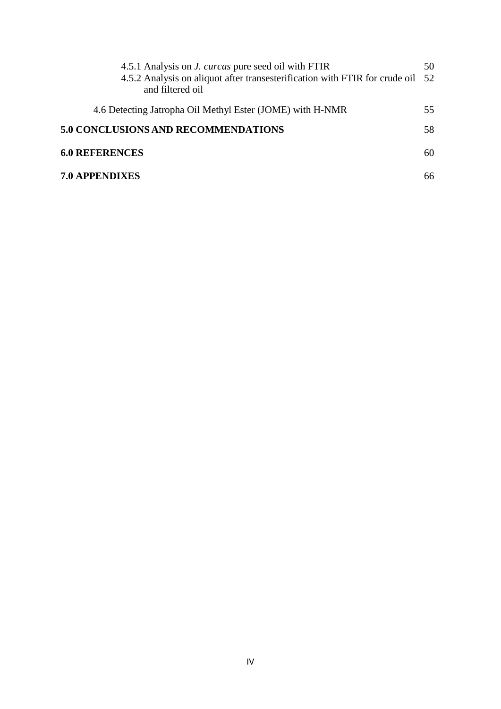| 4.5.1 Analysis on <i>J. curcas</i> pure seed oil with FTIR<br>4.5.2 Analysis on aliquot after transesterification with FTIR for crude oil 52<br>and filtered oil | 50 |
|------------------------------------------------------------------------------------------------------------------------------------------------------------------|----|
| 4.6 Detecting Jatropha Oil Methyl Ester (JOME) with H-NMR                                                                                                        | 55 |
| <b>5.0 CONCLUSIONS AND RECOMMENDATIONS</b>                                                                                                                       | 58 |
| <b>6.0 REFERENCES</b>                                                                                                                                            | 60 |
| <b>7.0 APPENDIXES</b>                                                                                                                                            | 66 |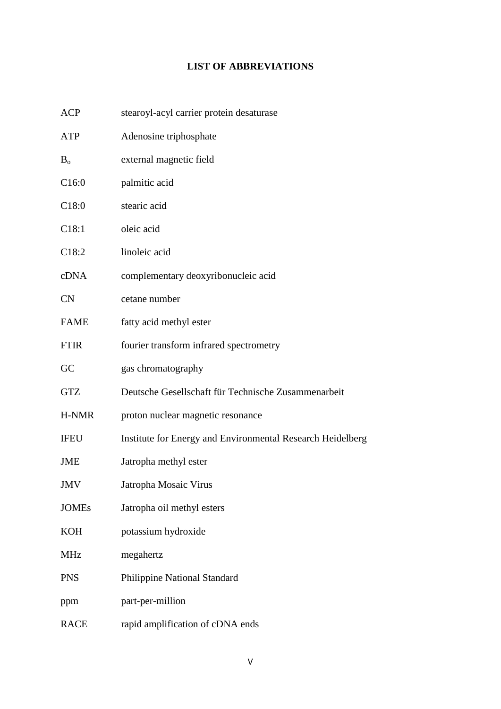## **LIST OF ABBREVIATIONS**

| <b>ACP</b>        | stearoyl-acyl carrier protein desaturase                   |
|-------------------|------------------------------------------------------------|
| ATP               | Adenosine triphosphate                                     |
| $B_{\rm o}$       | external magnetic field                                    |
| C16:0             | palmitic acid                                              |
| C18:0             | stearic acid                                               |
| C <sub>18:1</sub> | oleic acid                                                 |
| C <sub>18:2</sub> | linoleic acid                                              |
| cDNA              | complementary deoxyribonucleic acid                        |
| <b>CN</b>         | cetane number                                              |
| <b>FAME</b>       | fatty acid methyl ester                                    |
| <b>FTIR</b>       | fourier transform infrared spectrometry                    |
| GC                | gas chromatography                                         |
| <b>GTZ</b>        | Deutsche Gesellschaft für Technische Zusammenarbeit        |
| H-NMR             | proton nuclear magnetic resonance                          |
| <b>IFEU</b>       | Institute for Energy and Environmental Research Heidelberg |
| JME               | Jatropha methyl ester                                      |
| JMV               | Jatropha Mosaic Virus                                      |
| <b>JOMEs</b>      | Jatropha oil methyl esters                                 |
| <b>KOH</b>        | potassium hydroxide                                        |
| <b>MHz</b>        | megahertz                                                  |
| <b>PNS</b>        | Philippine National Standard                               |
| ppm               | part-per-million                                           |
| <b>RACE</b>       | rapid amplification of cDNA ends                           |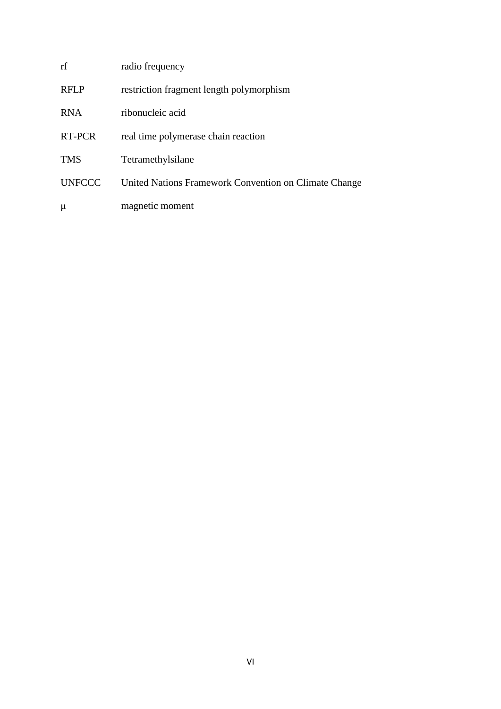| rf            | radio frequency                                       |
|---------------|-------------------------------------------------------|
| <b>RFLP</b>   | restriction fragment length polymorphism              |
| <b>RNA</b>    | ribonucleic acid                                      |
| RT-PCR        | real time polymerase chain reaction                   |
| <b>TMS</b>    | Tetramethylsilane                                     |
| <b>UNFCCC</b> | United Nations Framework Convention on Climate Change |
| μ             | magnetic moment                                       |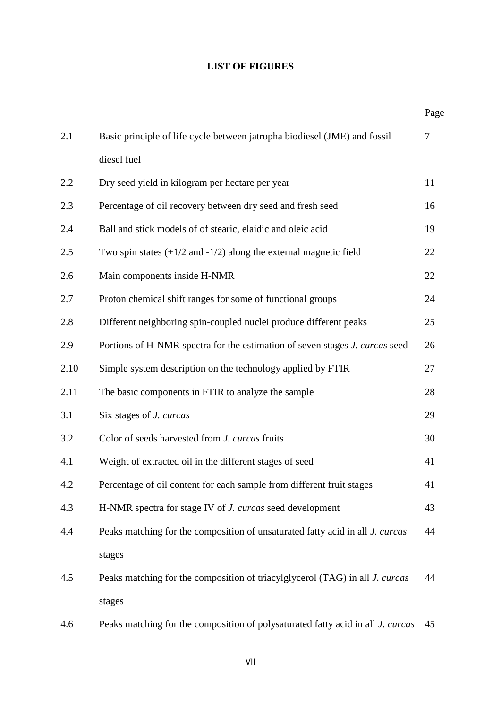## **LIST OF FIGURES**

|      |                                                                                        | Page   |
|------|----------------------------------------------------------------------------------------|--------|
| 2.1  | Basic principle of life cycle between jatropha biodiesel (JME) and fossil              | $\tau$ |
|      | diesel fuel                                                                            |        |
| 2.2  | Dry seed yield in kilogram per hectare per year                                        | 11     |
| 2.3  | Percentage of oil recovery between dry seed and fresh seed                             | 16     |
| 2.4  | Ball and stick models of of stearic, elaidic and oleic acid                            | 19     |
| 2.5  | Two spin states $(+1/2$ and $-1/2)$ along the external magnetic field                  | 22     |
| 2.6  | Main components inside H-NMR                                                           | 22     |
| 2.7  | Proton chemical shift ranges for some of functional groups                             | 24     |
| 2.8  | Different neighboring spin-coupled nuclei produce different peaks                      | 25     |
| 2.9  | Portions of H-NMR spectra for the estimation of seven stages J. curcas seed            | 26     |
| 2.10 | Simple system description on the technology applied by FTIR                            | 27     |
| 2.11 | The basic components in FTIR to analyze the sample                                     | 28     |
| 3.1  | Six stages of <i>J. curcas</i>                                                         | 29     |
| 3.2  | Color of seeds harvested from J. curcas fruits                                         | 30     |
| 4.1  | Weight of extracted oil in the different stages of seed                                | 41     |
| 4.2  | Percentage of oil content for each sample from different fruit stages                  | 41     |
| 4.3  | H-NMR spectra for stage IV of <i>J. curcas</i> seed development                        | 43     |
| 4.4  | Peaks matching for the composition of unsaturated fatty acid in all J. curcas          | 44     |
|      | stages                                                                                 |        |
| 4.5  | Peaks matching for the composition of triacylglycerol (TAG) in all <i>J. curcas</i>    | 44     |
|      | stages                                                                                 |        |
| 4.6  | Peaks matching for the composition of polysaturated fatty acid in all <i>J. curcas</i> | 45     |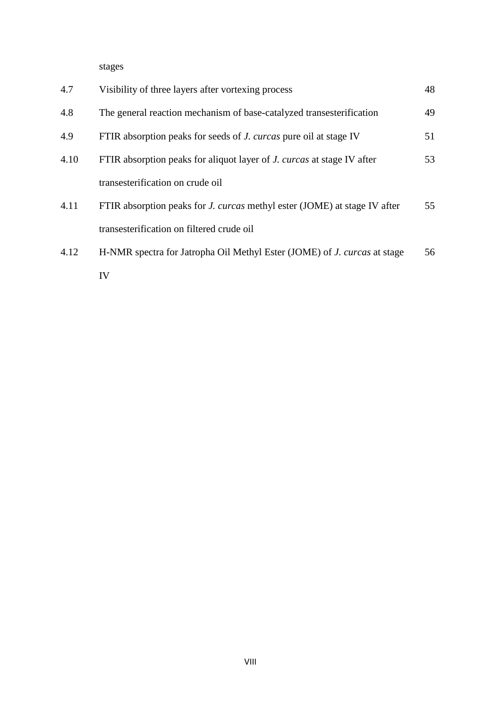stages and the stages of the stages of the stages of the stages of the stages of the stages of the stages of the stages of the stages of the stages of the stages of the stages of the stages of the stages of the stages of t

| 4.7  | Visibility of three layers after vortexing process                               | 48 |
|------|----------------------------------------------------------------------------------|----|
| 4.8  | The general reaction mechanism of base-catalyzed transesterification             | 49 |
| 4.9  | FTIR absorption peaks for seeds of <i>J. curcas</i> pure oil at stage IV         | 51 |
| 4.10 | FTIR absorption peaks for aliquot layer of <i>J. curcas</i> at stage IV after    | 53 |
|      | transesterification on crude oil                                                 |    |
| 4.11 | FTIR absorption peaks for <i>J. curcas</i> methyl ester (JOME) at stage IV after | 55 |
|      | transesterification on filtered crude oil                                        |    |
| 4.12 | H-NMR spectra for Jatropha Oil Methyl Ester (JOME) of <i>J. curcas</i> at stage  | 56 |
|      | IV                                                                               |    |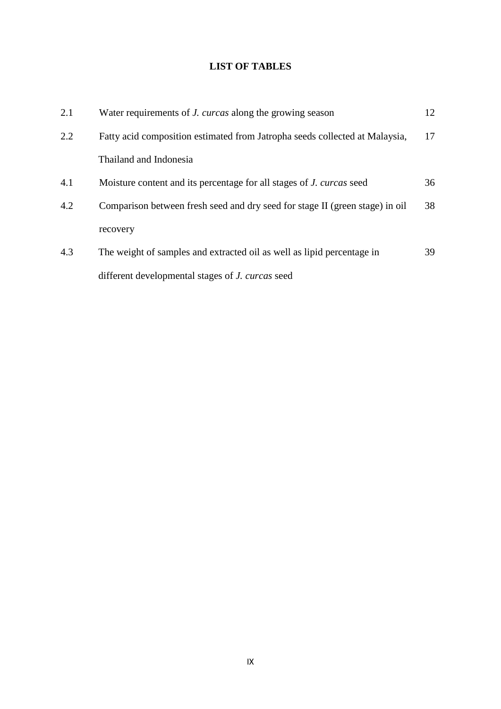# **LIST OF TABLES**

| 2.1 | Water requirements of <i>J. curcas</i> along the growing season              | 12 |
|-----|------------------------------------------------------------------------------|----|
| 2.2 | Fatty acid composition estimated from Jatropha seeds collected at Malaysia,  | 17 |
|     | Thailand and Indonesia                                                       |    |
| 4.1 | Moisture content and its percentage for all stages of <i>J. curcas</i> seed  | 36 |
| 4.2 | Comparison between fresh seed and dry seed for stage II (green stage) in oil | 38 |
|     | recovery                                                                     |    |
| 4.3 | The weight of samples and extracted oil as well as lipid percentage in       | 39 |
|     | different developmental stages of <i>J. curcas</i> seed                      |    |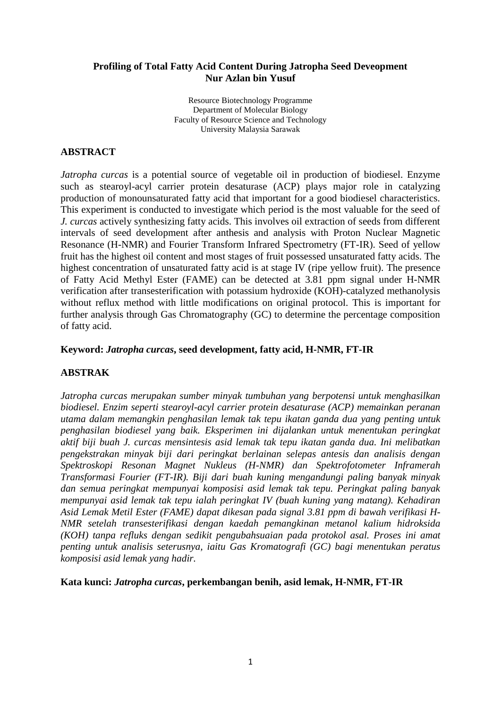### **Profiling of Total Fatty Acid Content During Jatropha Seed Deveopment Nur Azlan bin Yusuf**

Resource Biotechnology Programme Department of Molecular Biology Faculty of Resource Science and Technology University Malaysia Sarawak

### **ABSTRACT**

*Jatropha curcas* is a potential source of vegetable oil in production of biodiesel. Enzyme such as stearoyl-acyl carrier protein desaturase (ACP) plays major role in catalyzing production of monounsaturated fatty acid that important for a good biodiesel characteristics. This experiment is conducted to investigate which period is the most valuable for the seed of *J. curcas* actively synthesizing fatty acids. This involves oil extraction of seeds from different intervals of seed development after anthesis and analysis with Proton Nuclear Magnetic Resonance (H-NMR) and Fourier Transform Infrared Spectrometry (FT-IR). Seed of yellow fruit has the highest oil content and most stages of fruit possessed unsaturated fatty acids. The highest concentration of unsaturated fatty acid is at stage IV (ripe yellow fruit). The presence of Fatty Acid Methyl Ester (FAME) can be detected at 3.81 ppm signal under H-NMR verification after transesterification with potassium hydroxide (KOH)-catalyzed methanolysis without reflux method with little modifications on original protocol. This is important for further analysis through Gas Chromatography (GC) to determine the percentage composition of fatty acid.

### **Keyword:** *Jatropha curcas***, seed development, fatty acid, H-NMR, FT-IR**

### **ABSTRAK**

*Jatropha curcas merupakan sumber minyak tumbuhan yang berpotensi untuk menghasilkan biodiesel. Enzim seperti stearoyl-acyl carrier protein desaturase (ACP) memainkan peranan utama dalam memangkin penghasilan lemak tak tepu ikatan ganda dua yang penting untuk penghasilan biodiesel yang baik. Eksperimen ini dijalankan untuk menentukan peringkat aktif biji buah J. curcas mensintesis asid lemak tak tepu ikatan ganda dua. Ini melibatkan pengekstrakan minyak biji dari peringkat berlainan selepas antesis dan analisis dengan Spektroskopi Resonan Magnet Nukleus (H-NMR) dan Spektrofotometer Inframerah Transformasi Fourier (FT-IR). Biji dari buah kuning mengandungi paling banyak minyak dan semua peringkat mempunyai komposisi asid lemak tak tepu. Peringkat paling banyak mempunyai asid lemak tak tepu ialah peringkat IV (buah kuning yang matang). Kehadiran Asid Lemak Metil Ester (FAME) dapat dikesan pada signal 3.81 ppm di bawah verifikasi H-NMR setelah transesterifikasi dengan kaedah pemangkinan metanol kalium hidroksida (KOH) tanpa refluks dengan sedikit pengubahsuaian pada protokol asal. Proses ini amat penting untuk analisis seterusnya, iaitu Gas Kromatografi (GC) bagi menentukan peratus komposisi asid lemak yang hadir.* 

**Kata kunci:** *Jatropha curcas***, perkembangan benih, asid lemak, H-NMR, FT-IR**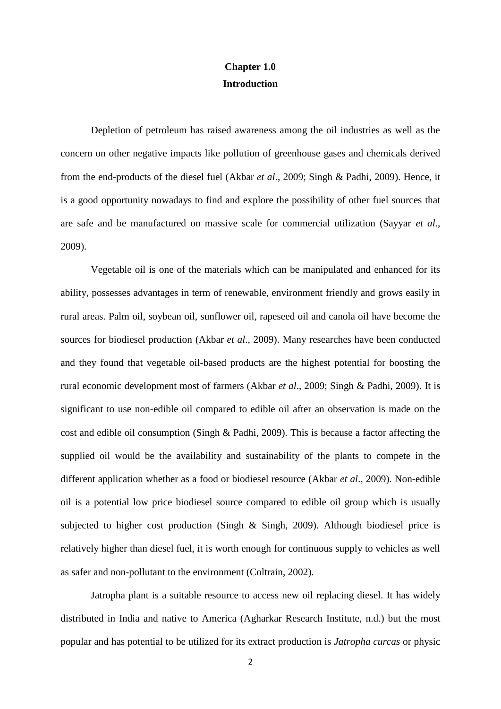# **Chapter 1.0 Introduction**

Depletion of petroleum has raised awareness among the oil industries as well as the concern on other negative impacts like pollution of greenhouse gases and chemicals derived from the end-products of the diesel fuel (Akbar *et al*., 2009; Singh & Padhi, 2009). Hence, it is a good opportunity nowadays to find and explore the possibility of other fuel sources that are safe and be manufactured on massive scale for commercial utilization (Sayyar *et al*., 2009).

Vegetable oil is one of the materials which can be manipulated and enhanced for its ability, possesses advantages in term of renewable, environment friendly and grows easily in rural areas. Palm oil, soybean oil, sunflower oil, rapeseed oil and canola oil have become the sources for biodiesel production (Akbar *et al*., 2009). Many researches have been conducted and they found that vegetable oil-based products are the highest potential for boosting the rural economic development most of farmers (Akbar *et al*., 2009; Singh & Padhi, 2009). It is significant to use non-edible oil compared to edible oil after an observation is made on the cost and edible oil consumption (Singh & Padhi, 2009). This is because a factor affecting the supplied oil would be the availability and sustainability of the plants to compete in the different application whether as a food or biodiesel resource (Akbar *et al*., 2009). Non-edible oil is a potential low price biodiesel source compared to edible oil group which is usually subjected to higher cost production (Singh & Singh, 2009). Although biodiesel price is relatively higher than diesel fuel, it is worth enough for continuous supply to vehicles as well as safer and non-pollutant to the environment (Coltrain, 2002).

Jatropha plant is a suitable resource to access new oil replacing diesel. It has widely distributed in India and native to America (Agharkar Research Institute, n.d.) but the most popular and has potential to be utilized for its extract production is *Jatropha curcas* or physic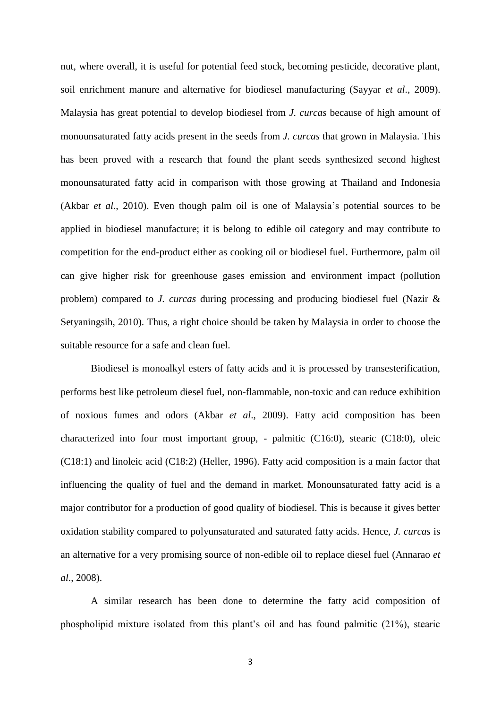nut, where overall, it is useful for potential feed stock, becoming pesticide, decorative plant, soil enrichment manure and alternative for biodiesel manufacturing (Sayyar *et al*., 2009). Malaysia has great potential to develop biodiesel from *J. curcas* because of high amount of monounsaturated fatty acids present in the seeds from *J. curcas* that grown in Malaysia. This has been proved with a research that found the plant seeds synthesized second highest monounsaturated fatty acid in comparison with those growing at Thailand and Indonesia (Akbar *et al*., 2010). Even though palm oil is one of Malaysia's potential sources to be applied in biodiesel manufacture; it is belong to edible oil category and may contribute to competition for the end-product either as cooking oil or biodiesel fuel. Furthermore, palm oil can give higher risk for greenhouse gases emission and environment impact (pollution problem) compared to *J. curcas* during processing and producing biodiesel fuel (Nazir & Setyaningsih, 2010). Thus, a right choice should be taken by Malaysia in order to choose the suitable resource for a safe and clean fuel.

Biodiesel is monoalkyl esters of fatty acids and it is processed by transesterification, performs best like petroleum diesel fuel, non-flammable, non-toxic and can reduce exhibition of noxious fumes and odors (Akbar *et al*., 2009). Fatty acid composition has been characterized into four most important group, - palmitic (C16:0), stearic (C18:0), oleic (C18:1) and linoleic acid (C18:2) (Heller, 1996). Fatty acid composition is a main factor that influencing the quality of fuel and the demand in market. Monounsaturated fatty acid is a major contributor for a production of good quality of biodiesel. This is because it gives better oxidation stability compared to polyunsaturated and saturated fatty acids. Hence, *J. curcas* is an alternative for a very promising source of non-edible oil to replace diesel fuel (Annarao *et al*., 2008).

A similar research has been done to determine the fatty acid composition of phospholipid mixture isolated from this plant's oil and has found palmitic (21%), stearic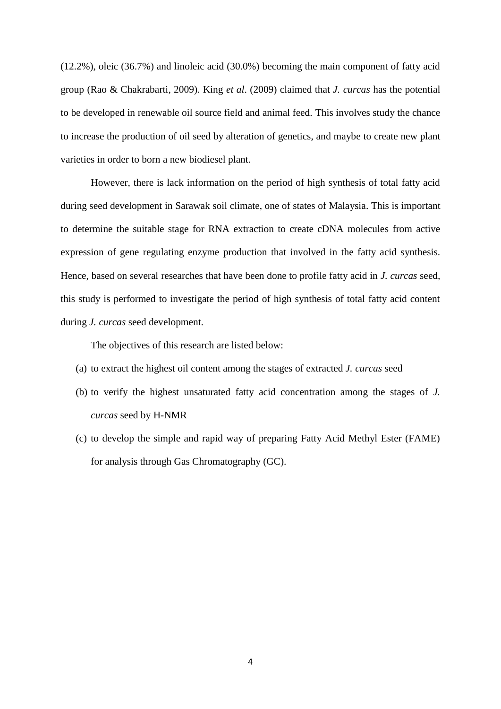(12.2%), oleic (36.7%) and linoleic acid (30.0%) becoming the main component of fatty acid group (Rao & Chakrabarti, 2009). King *et al*. (2009) claimed that *J. curcas* has the potential to be developed in renewable oil source field and animal feed. This involves study the chance to increase the production of oil seed by alteration of genetics, and maybe to create new plant varieties in order to born a new biodiesel plant.

However, there is lack information on the period of high synthesis of total fatty acid during seed development in Sarawak soil climate, one of states of Malaysia. This is important to determine the suitable stage for RNA extraction to create cDNA molecules from active expression of gene regulating enzyme production that involved in the fatty acid synthesis. Hence, based on several researches that have been done to profile fatty acid in *J. curcas* seed*,*  this study is performed to investigate the period of high synthesis of total fatty acid content during *J. curcas* seed development.

The objectives of this research are listed below:

- (a) to extract the highest oil content among the stages of extracted *J. curcas* seed
- (b) to verify the highest unsaturated fatty acid concentration among the stages of *J. curcas* seed by H-NMR
- (c) to develop the simple and rapid way of preparing Fatty Acid Methyl Ester (FAME) for analysis through Gas Chromatography (GC).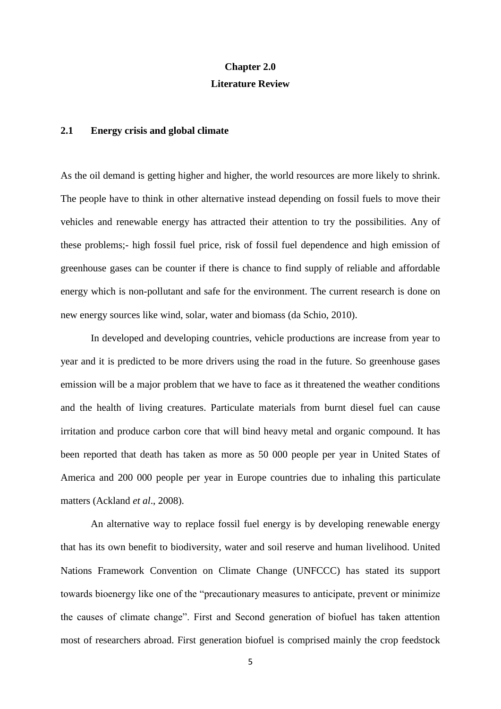# **Chapter 2.0 Literature Review**

#### **2.1 Energy crisis and global climate**

As the oil demand is getting higher and higher, the world resources are more likely to shrink. The people have to think in other alternative instead depending on fossil fuels to move their vehicles and renewable energy has attracted their attention to try the possibilities. Any of these problems;- high fossil fuel price, risk of fossil fuel dependence and high emission of greenhouse gases can be counter if there is chance to find supply of reliable and affordable energy which is non-pollutant and safe for the environment. The current research is done on new energy sources like wind, solar, water and biomass (da Schio, 2010).

In developed and developing countries, vehicle productions are increase from year to year and it is predicted to be more drivers using the road in the future. So greenhouse gases emission will be a major problem that we have to face as it threatened the weather conditions and the health of living creatures. Particulate materials from burnt diesel fuel can cause irritation and produce carbon core that will bind heavy metal and organic compound. It has been reported that death has taken as more as 50 000 people per year in United States of America and 200 000 people per year in Europe countries due to inhaling this particulate matters (Ackland *et al*., 2008).

An alternative way to replace fossil fuel energy is by developing renewable energy that has its own benefit to biodiversity, water and soil reserve and human livelihood. United Nations Framework Convention on Climate Change (UNFCCC) has stated its support towards bioenergy like one of the "precautionary measures to anticipate, prevent or minimize the causes of climate change". First and Second generation of biofuel has taken attention most of researchers abroad. First generation biofuel is comprised mainly the crop feedstock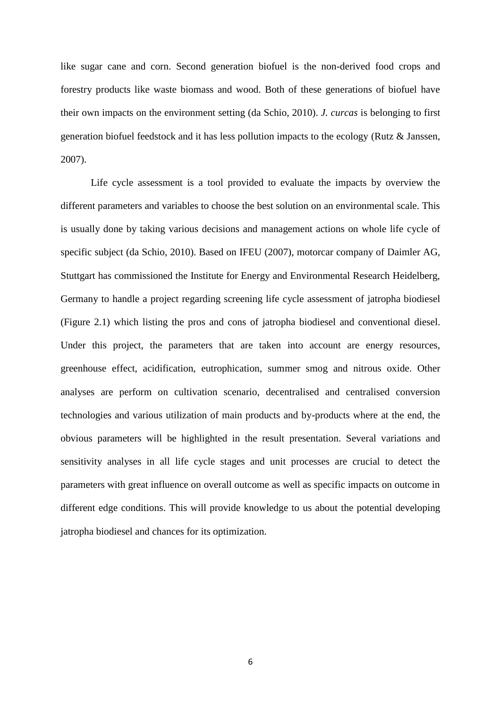like sugar cane and corn. Second generation biofuel is the non-derived food crops and forestry products like waste biomass and wood. Both of these generations of biofuel have their own impacts on the environment setting (da Schio, 2010). *J. curcas* is belonging to first generation biofuel feedstock and it has less pollution impacts to the ecology (Rutz & Janssen, 2007).

Life cycle assessment is a tool provided to evaluate the impacts by overview the different parameters and variables to choose the best solution on an environmental scale. This is usually done by taking various decisions and management actions on whole life cycle of specific subject (da Schio, 2010). Based on IFEU (2007), motorcar company of Daimler AG, Stuttgart has commissioned the Institute for Energy and Environmental Research Heidelberg, Germany to handle a project regarding screening life cycle assessment of jatropha biodiesel (Figure 2.1) which listing the pros and cons of jatropha biodiesel and conventional diesel. Under this project, the parameters that are taken into account are energy resources, greenhouse effect, acidification, eutrophication, summer smog and nitrous oxide. Other analyses are perform on cultivation scenario, decentralised and centralised conversion technologies and various utilization of main products and by-products where at the end, the obvious parameters will be highlighted in the result presentation. Several variations and sensitivity analyses in all life cycle stages and unit processes are crucial to detect the parameters with great influence on overall outcome as well as specific impacts on outcome in different edge conditions. This will provide knowledge to us about the potential developing jatropha biodiesel and chances for its optimization.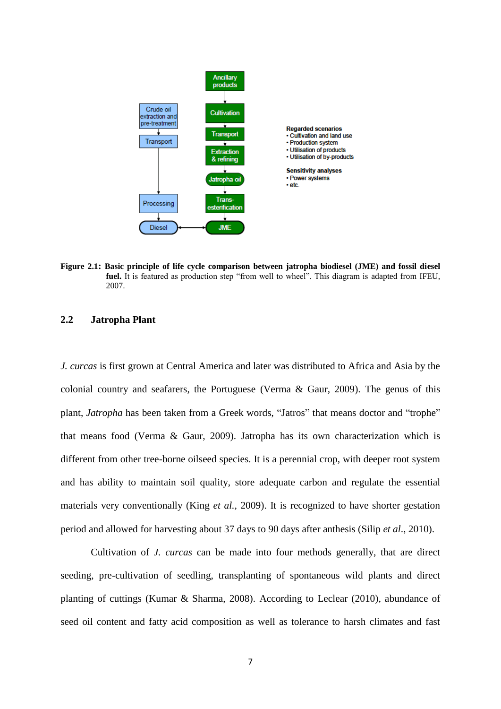

**Figure 2.1: Basic principle of life cycle comparison between jatropha biodiesel (JME) and fossil diesel fuel.** It is featured as production step "from well to wheel". This diagram is adapted from IFEU, 2007.

### **2.2 Jatropha Plant**

*J. curcas* is first grown at Central America and later was distributed to Africa and Asia by the colonial country and seafarers, the Portuguese (Verma & Gaur, 2009). The genus of this plant, *Jatropha* has been taken from a Greek words, "Jatros" that means doctor and "trophe" that means food (Verma & Gaur, 2009). Jatropha has its own characterization which is different from other tree-borne oilseed species. It is a perennial crop, with deeper root system and has ability to maintain soil quality, store adequate carbon and regulate the essential materials very conventionally (King *et al.*, 2009). It is recognized to have shorter gestation period and allowed for harvesting about 37 days to 90 days after anthesis (Silip *et al*., 2010).

Cultivation of *J. curcas* can be made into four methods generally, that are direct seeding, pre-cultivation of seedling, transplanting of spontaneous wild plants and direct planting of cuttings (Kumar & Sharma, 2008). According to Leclear (2010), abundance of seed oil content and fatty acid composition as well as tolerance to harsh climates and fast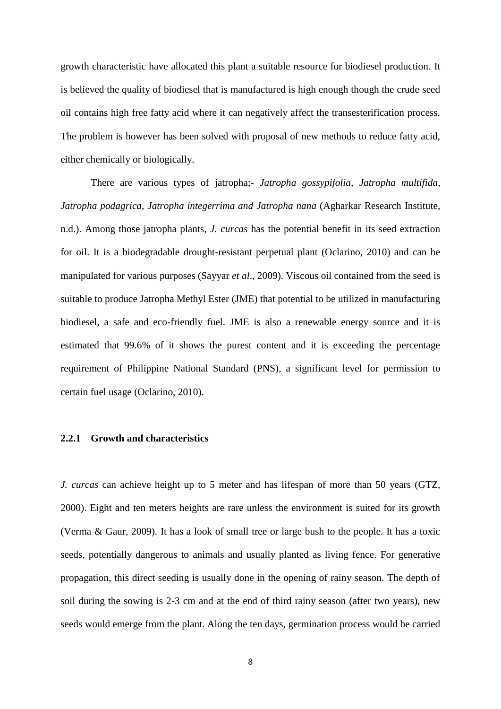growth characteristic have allocated this plant a suitable resource for biodiesel production. It is believed the quality of biodiesel that is manufactured is high enough though the crude seed oil contains high free fatty acid where it can negatively affect the transesterification process. The problem is however has been solved with proposal of new methods to reduce fatty acid, either chemically or biologically.

There are various types of jatropha;- *Jatropha gossypifolia, Jatropha multifida, Jatropha podagrica, Jatropha integerrima and Jatropha nana* (Agharkar Research Institute, n.d.). Among those jatropha plants, *J. curcas* has the potential benefit in its seed extraction for oil. It is a biodegradable drought-resistant perpetual plant (Oclarino, 2010) and can be manipulated for various purposes (Sayyar *et al*., 2009). Viscous oil contained from the seed is suitable to produce Jatropha Methyl Ester (JME) that potential to be utilized in manufacturing biodiesel, a safe and eco-friendly fuel. JME is also a renewable energy source and it is estimated that 99.6% of it shows the purest content and it is exceeding the percentage requirement of Philippine National Standard (PNS), a significant level for permission to certain fuel usage (Oclarino, 2010).

### **2.2.1 Growth and characteristics**

*J. curcas* can achieve height up to 5 meter and has lifespan of more than 50 years (GTZ, 2000). Eight and ten meters heights are rare unless the environment is suited for its growth (Verma & Gaur, 2009). It has a look of small tree or large bush to the people. It has a toxic seeds, potentially dangerous to animals and usually planted as living fence. For generative propagation, this direct seeding is usually done in the opening of rainy season. The depth of soil during the sowing is 2-3 cm and at the end of third rainy season (after two years), new seeds would emerge from the plant. Along the ten days, germination process would be carried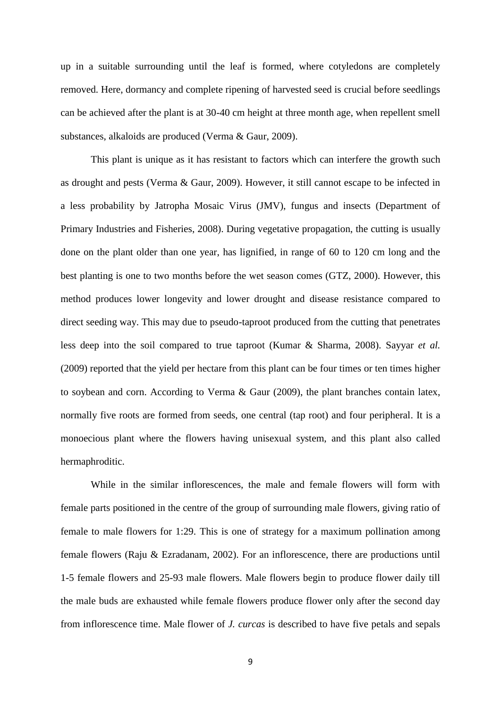up in a suitable surrounding until the leaf is formed, where cotyledons are completely removed. Here, dormancy and complete ripening of harvested seed is crucial before seedlings can be achieved after the plant is at 30-40 cm height at three month age, when repellent smell substances, alkaloids are produced (Verma & Gaur, 2009).

This plant is unique as it has resistant to factors which can interfere the growth such as drought and pests (Verma & Gaur, 2009). However, it still cannot escape to be infected in a less probability by Jatropha Mosaic Virus (JMV), fungus and insects (Department of Primary Industries and Fisheries, 2008). During vegetative propagation, the cutting is usually done on the plant older than one year, has lignified, in range of 60 to 120 cm long and the best planting is one to two months before the wet season comes (GTZ, 2000). However, this method produces lower longevity and lower drought and disease resistance compared to direct seeding way. This may due to pseudo-taproot produced from the cutting that penetrates less deep into the soil compared to true taproot (Kumar & Sharma, 2008). Sayyar *et al.* (2009) reported that the yield per hectare from this plant can be four times or ten times higher to soybean and corn. According to Verma & Gaur (2009), the plant branches contain latex, normally five roots are formed from seeds, one central (tap root) and four peripheral. It is a monoecious plant where the flowers having unisexual system, and this plant also called hermaphroditic.

While in the similar inflorescences, the male and female flowers will form with female parts positioned in the centre of the group of surrounding male flowers, giving ratio of female to male flowers for 1:29. This is one of strategy for a maximum pollination among female flowers (Raju & Ezradanam, 2002). For an inflorescence, there are productions until 1-5 female flowers and 25-93 male flowers. Male flowers begin to produce flower daily till the male buds are exhausted while female flowers produce flower only after the second day from inflorescence time. Male flower of *J. curcas* is described to have five petals and sepals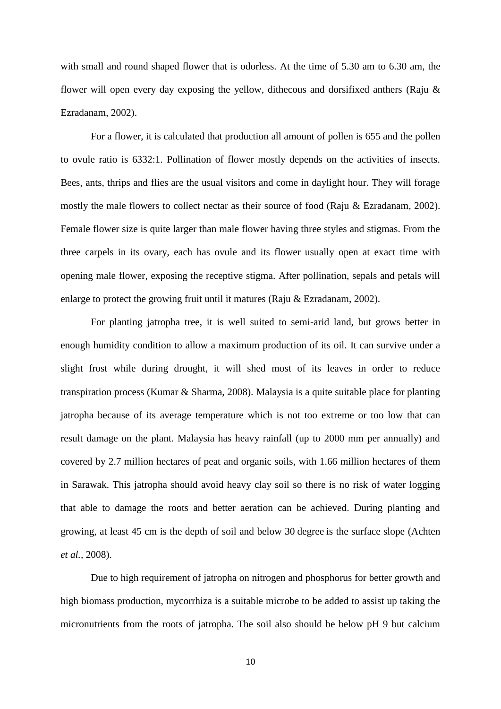with small and round shaped flower that is odorless. At the time of 5.30 am to 6.30 am, the flower will open every day exposing the yellow, dithecous and dorsifixed anthers (Raju & Ezradanam, 2002).

For a flower, it is calculated that production all amount of pollen is 655 and the pollen to ovule ratio is 6332:1. Pollination of flower mostly depends on the activities of insects. Bees, ants, thrips and flies are the usual visitors and come in daylight hour. They will forage mostly the male flowers to collect nectar as their source of food (Raju & Ezradanam, 2002). Female flower size is quite larger than male flower having three styles and stigmas. From the three carpels in its ovary, each has ovule and its flower usually open at exact time with opening male flower, exposing the receptive stigma. After pollination, sepals and petals will enlarge to protect the growing fruit until it matures (Raju & Ezradanam, 2002).

For planting jatropha tree, it is well suited to semi-arid land, but grows better in enough humidity condition to allow a maximum production of its oil. It can survive under a slight frost while during drought, it will shed most of its leaves in order to reduce transpiration process (Kumar & Sharma, 2008). Malaysia is a quite suitable place for planting jatropha because of its average temperature which is not too extreme or too low that can result damage on the plant. Malaysia has heavy rainfall (up to 2000 mm per annually) and covered by 2.7 million hectares of peat and organic soils, with 1.66 million hectares of them in Sarawak. This jatropha should avoid heavy clay soil so there is no risk of water logging that able to damage the roots and better aeration can be achieved. During planting and growing, at least 45 cm is the depth of soil and below 30 degree is the surface slope (Achten *et al.,* 2008).

Due to high requirement of jatropha on nitrogen and phosphorus for better growth and high biomass production, mycorrhiza is a suitable microbe to be added to assist up taking the micronutrients from the roots of jatropha. The soil also should be below pH 9 but calcium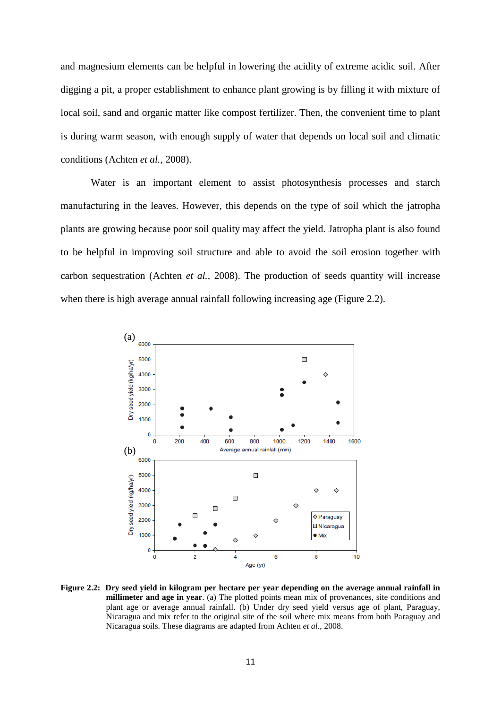and magnesium elements can be helpful in lowering the acidity of extreme acidic soil. After digging a pit, a proper establishment to enhance plant growing is by filling it with mixture of local soil, sand and organic matter like compost fertilizer. Then, the convenient time to plant is during warm season, with enough supply of water that depends on local soil and climatic conditions (Achten *et al.,* 2008).

Water is an important element to assist photosynthesis processes and starch manufacturing in the leaves. However, this depends on the type of soil which the jatropha plants are growing because poor soil quality may affect the yield. Jatropha plant is also found to be helpful in improving soil structure and able to avoid the soil erosion together with carbon sequestration (Achten *et al.,* 2008). The production of seeds quantity will increase when there is high average annual rainfall following increasing age (Figure 2.2).



**Figure 2.2: Dry seed yield in kilogram per hectare per year depending on the average annual rainfall in millimeter and age in year**. (a) The plotted points mean mix of provenances, site conditions and plant age or average annual rainfall. (b) Under dry seed yield versus age of plant, Paraguay, Nicaragua and mix refer to the original site of the soil where mix means from both Paraguay and Nicaragua soils. These diagrams are adapted from Achten *et al.*, 2008.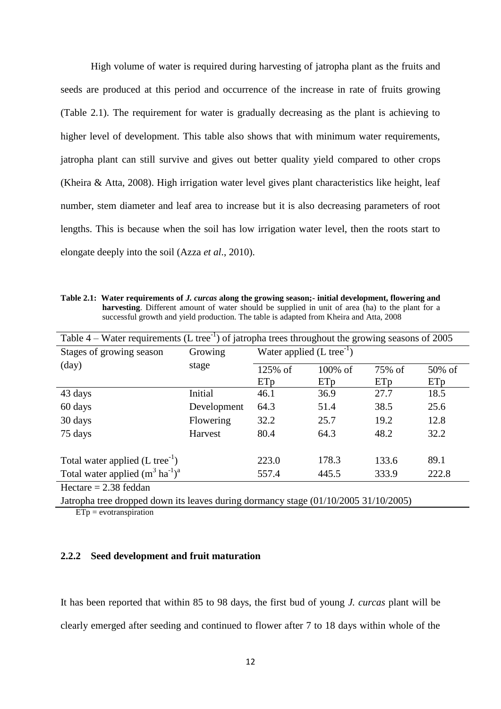High volume of water is required during harvesting of jatropha plant as the fruits and seeds are produced at this period and occurrence of the increase in rate of fruits growing (Table 2.1). The requirement for water is gradually decreasing as the plant is achieving to higher level of development. This table also shows that with minimum water requirements, jatropha plant can still survive and gives out better quality yield compared to other crops (Kheira & Atta, 2008). High irrigation water level gives plant characteristics like height, leaf number, stem diameter and leaf area to increase but it is also decreasing parameters of root lengths. This is because when the soil has low irrigation water level, then the roots start to elongate deeply into the soil (Azza *et al*., 2010).

**Table 2.1: Water requirements of** *J. curcas* **along the growing season;- initial development, flowering and harvesting**. Different amount of water should be supplied in unit of area (ha) to the plant for a successful growth and yield production. The table is adapted from Kheira and Atta, 2008

| Table 4 – Water requirements (L tree <sup>-1</sup> ) of jatropha trees throughout the growing seasons of 2005 |             |                                       |            |        |        |
|---------------------------------------------------------------------------------------------------------------|-------------|---------------------------------------|------------|--------|--------|
| Stages of growing season                                                                                      | Growing     | Water applied $(L \text{ tree}^{-1})$ |            |        |        |
| $\text{(day)}$                                                                                                | stage       | 125% of                               | $100\%$ of | 75% of | 50% of |
|                                                                                                               |             | ETp                                   | ETp        | ETp    | ETp    |
| 43 days                                                                                                       | Initial     | 46.1                                  | 36.9       | 27.7   | 18.5   |
| 60 days                                                                                                       | Development | 64.3                                  | 51.4       | 38.5   | 25.6   |
| 30 days                                                                                                       | Flowering   | 32.2                                  | 25.7       | 19.2   | 12.8   |
| 75 days                                                                                                       | Harvest     | 80.4                                  | 64.3       | 48.2   | 32.2   |
| Total water applied $(L \t{tree}^{-1})$                                                                       |             | 223.0                                 | 178.3      | 133.6  | 89.1   |
| Total water applied $(m^3 \text{ ha}^{-1})^a$                                                                 |             | 557.4                                 | 445.5      | 333.9  | 222.8  |
| Hectare $= 2.38$ feddan                                                                                       |             |                                       |            |        |        |
| Jatropha tree dropped down its leaves during dormancy stage $(01/10/2005 \ 31/10/2005)$                       |             |                                       |            |        |        |

 $ETp =$  evotranspiration

#### **2.2.2 Seed development and fruit maturation**

It has been reported that within 85 to 98 days, the first bud of young *J. curcas* plant will be clearly emerged after seeding and continued to flower after 7 to 18 days within whole of the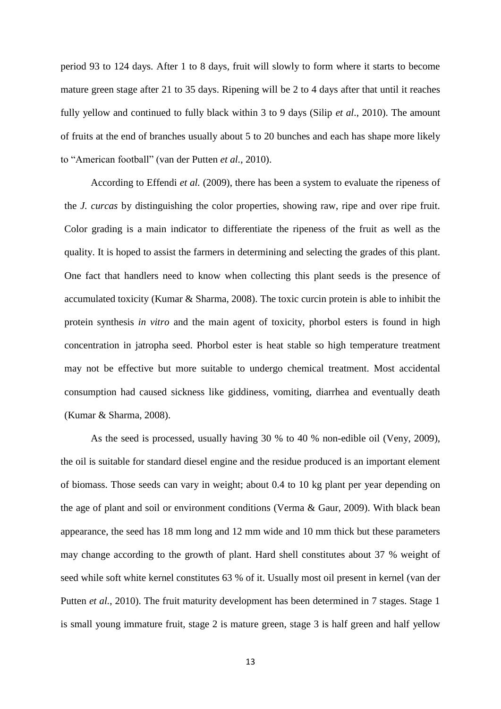period 93 to 124 days. After 1 to 8 days, fruit will slowly to form where it starts to become mature green stage after 21 to 35 days. Ripening will be 2 to 4 days after that until it reaches fully yellow and continued to fully black within 3 to 9 days (Silip *et al*., 2010). The amount of fruits at the end of branches usually about 5 to 20 bunches and each has shape more likely to "American football" (van der Putten *et al.*, 2010).

According to Effendi *et al.* (2009), there has been a system to evaluate the ripeness of the *J. curcas* by distinguishing the color properties, showing raw, ripe and over ripe fruit. Color grading is a main indicator to differentiate the ripeness of the fruit as well as the quality. It is hoped to assist the farmers in determining and selecting the grades of this plant. One fact that handlers need to know when collecting this plant seeds is the presence of accumulated toxicity (Kumar & Sharma, 2008). The toxic curcin protein is able to inhibit the protein synthesis *in vitro* and the main agent of toxicity, phorbol esters is found in high concentration in jatropha seed. Phorbol ester is heat stable so high temperature treatment may not be effective but more suitable to undergo chemical treatment. Most accidental consumption had caused sickness like giddiness, vomiting, diarrhea and eventually death (Kumar & Sharma, 2008).

As the seed is processed, usually having 30 % to 40 % non-edible oil (Veny, 2009), the oil is suitable for standard diesel engine and the residue produced is an important element of biomass. Those seeds can vary in weight; about 0.4 to 10 kg plant per year depending on the age of plant and soil or environment conditions (Verma & Gaur, 2009). With black bean appearance, the seed has 18 mm long and 12 mm wide and 10 mm thick but these parameters may change according to the growth of plant. Hard shell constitutes about 37 % weight of seed while soft white kernel constitutes 63 % of it. Usually most oil present in kernel (van der Putten *et al.*, 2010). The fruit maturity development has been determined in 7 stages. Stage 1 is small young immature fruit, stage 2 is mature green, stage 3 is half green and half yellow